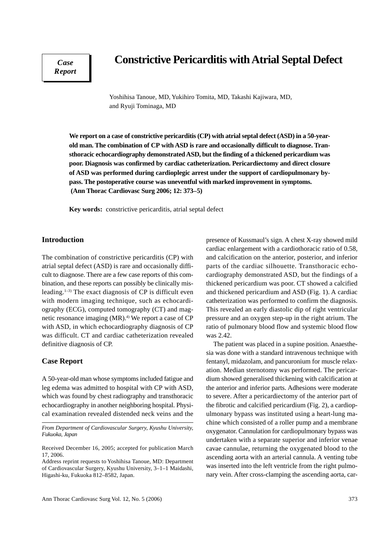*Case Report*

# **Constrictive Pericarditis with Atrial Septal Defect**

Yoshihisa Tanoue, MD, Yukihiro Tomita, MD, Takashi Kajiwara, MD, and Ryuji Tominaga, MD

**We report on a case of constrictive pericarditis (CP) with atrial septal defect (ASD) in a 50-yearold man. The combination of CP with ASD is rare and occasionally difficult to diagnose. Transthoracic echocardiography demonstrated ASD, but the finding of a thickened pericardium was poor. Diagnosis was confirmed by cardiac catheterization. Pericardiectomy and direct closure of ASD was performed during cardioplegic arrest under the support of cardiopulmonary bypass. The postoperative course was uneventful with marked improvement in symptoms. (Ann Thorac Cardiovasc Surg 2006; 12: 373–5)**

**Key words:** constrictive pericarditis, atrial septal defect

## **Introduction**

The combination of constrictive pericarditis (CP) with atrial septal defect (ASD) is rare and occasionally difficult to diagnose. There are a few case reports of this combination, and these reports can possibly be clinically misleading. $1-3$ ) The exact diagnosis of CP is difficult even with modern imaging technique, such as echocardiography (ECG), computed tomography (CT) and magnetic resonance imaging  $(MR)$ .<sup>4)</sup> We report a case of CP with ASD, in which echocardiography diagnosis of CP was difficult. CT and cardiac catheterization revealed definitive diagnosis of CP.

### **Case Report**

A 50-year-old man whose symptoms included fatigue and leg edema was admitted to hospital with CP with ASD, which was found by chest radiography and transthoracic echocardiography in another neighboring hospital. Physical examination revealed distended neck veins and the presence of Kussmaul's sign. A chest X-ray showed mild cardiac enlargement with a cardiothoracic ratio of 0.58, and calcification on the anterior, posterior, and inferior parts of the cardiac silhouette. Transthoracic echocardiography demonstrated ASD, but the findings of a thickened pericardium was poor. CT showed a calcified and thickened pericardium and ASD (Fig. 1). A cardiac catheterization was performed to confirm the diagnosis. This revealed an early diastolic dip of right ventricular pressure and an oxygen step-up in the right atrium. The ratio of pulmonary blood flow and systemic blood flow was 2.42.

The patient was placed in a supine position. Anaesthesia was done with a standard intravenous technique with fentanyl, midazolam, and pancuronium for muscle relaxation. Median sternotomy was performed. The pericardium showed generalised thickening with calcification at the anterior and inferior parts. Adhesions were moderate to severe. After a pericardiectomy of the anterior part of the fibrotic and calcified pericardium (Fig. 2), a cardiopulmonary bypass was instituted using a heart-lung machine which consisted of a roller pump and a membrane oxygenator. Cannulation for cardiopulmonary bypass was undertaken with a separate superior and inferior venae cavae cannulae, returning the oxygenated blood to the ascending aorta with an arterial cannula. A venting tube was inserted into the left ventricle from the right pulmonary vein. After cross-clamping the ascending aorta, car-

*From Department of Cardiovascular Surgery, Kyushu University, Fukuoka, Japan*

Received December 16, 2005; accepted for publication March 17, 2006.

Address reprint requests to Yoshihisa Tanoue, MD: Department of Cardiovascular Surgery, Kyushu University, 3–1–1 Maidashi, Higashi-ku, Fukuoka 812–8582, Japan.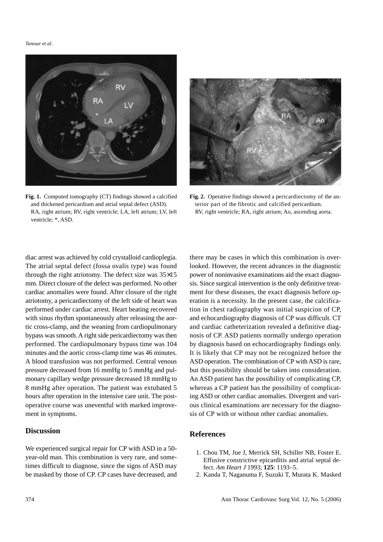*Tanoue et al.*



**Fig. 1.** Computed tomography (CT) findings showed a calcified and thickened pericardium and atrial septal defect (ASD). RA, right atrium; RV, right ventricle; LA, left atrium; LV, left ventricle; \*, ASD.



**Fig. 2.** Operative findings showed a pericardiectomy of the anterior part of the fibrotic and calcified pericardium. RV, right ventricle; RA, right atrium; Ao, ascending aorta.

there may be cases in which this combination is overlooked. However, the recent advances in the diagnostic

diac arrest was achieved by cold crystalloid cardioplegia. The atrial septal defect (fossa ovalis type) was found through the right atriotomy. The defect size was 35×15 mm. Direct closure of the defect was performed. No other cardiac anomalies were found. After closure of the right atriotomy, a pericardiectomy of the left side of heart was performed under cardiac arrest. Heart beating recovered with sinus rhythm spontaneously after releasing the aortic cross-clamp, and the weaning from cardiopulmonary bypass was smooth. A right side pericardiectomy was then performed. The cardiopulmonary bypass time was 104 minutes and the aortic cross-clamp time was 46 minutes. A blood transfusion was not performed. Central venous pressure decreased from 16 mmHg to 5 mmHg and pulmonary capillary wedge pressure decreased 18 mmHg to 8 mmHg after operation. The patient was extubated 5 hours after operation in the intensive care unit. The postoperative course was uneventful with marked improvement in symptoms.

## **Discussion**

We experienced surgical repair for CP with ASD in a 50 year-old man. This combination is very rare, and sometimes difficult to diagnose, since the signs of ASD may be masked by those of CP. CP cases have decreased, and power of noninvasive examinations aid the exact diagnosis. Since surgical intervention is the only definitive treatment for these diseases, the exact diagnosis before operation is a necessity. In the present case, the calcification in chest radiography was initial suspicion of CP, and echocardiography diagnosis of CP was difficult. CT and cardiac catheterization revealed a definitive diagnosis of CP. ASD patients normally undergo operation by diagnosis based on echocardiography findings only. It is likely that CP may not be recognized before the ASD operation. The combination of CP with ASD is rare, but this possibility should be taken into consideration. An ASD patient has the possibility of complicating CP, whereas a CP patient has the possibility of complicating ASD or other cardiac anomalies. Divergent and various clinical examinations are necessary for the diagnosis of CP with or without other cardiac anomalies.

# **References**

- 1. Chou TM, Jue J, Merrick SH, Schiller NB, Foster E. Effusive constrictive epicarditis and atrial septal defect. *Am Heart J* 1993; **125**: 1193–5.
- 2. Kanda T, Naganuma F, Suzuki T, Murata K. Masked